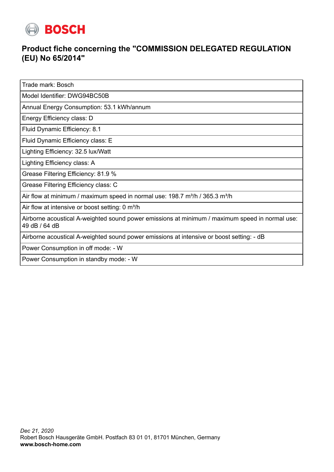

## **Product fiche concerning the "COMMISSION DELEGATED REGULATION (EU) No 65/2014"**

Trade mark: Bosch

Model Identifier: DWG94BC50B

Annual Energy Consumption: 53.1 kWh/annum

Energy Efficiency class: D

Fluid Dynamic Efficiency: 8.1

Fluid Dynamic Efficiency class: E

Lighting Efficiency: 32.5 lux/Watt

Lighting Efficiency class: A

Grease Filtering Efficiency: 81.9 %

Grease Filtering Efficiency class: C

Air flow at minimum / maximum speed in normal use:  $198.7 \text{ m}^3/\text{h}$  /  $365.3 \text{ m}^3/\text{h}$ 

Air flow at intensive or boost setting: 0 m<sup>3</sup>/h

Airborne acoustical A-weighted sound power emissions at minimum / maximum speed in normal use: 49 dB / 64 dB

Airborne acoustical A-weighted sound power emissions at intensive or boost setting: - dB

Power Consumption in off mode: - W

Power Consumption in standby mode: - W